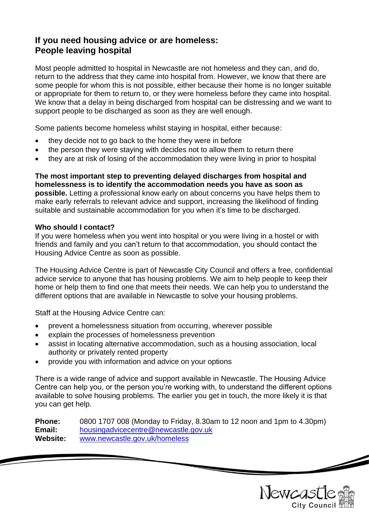# **If you need housing advice or are homeless: People leaving hospital**

Most people admitted to hospital in Newcastle are not homeless and they can, and do, return to the address that they came into hospital from. However, we know that there are some people for whom this is not possible, either because their home is no longer suitable or appropriate for them to return to, or they were homeless before they came into hospital. We know that a delay in being discharged from hospital can be distressing and we want to support people to be discharged as soon as they are well enough.

Some patients become homeless whilst staying in hospital, either because:

- they decide not to go back to the home they were in before
- the person they were staying with decides not to allow them to return there
- they are at risk of losing of the accommodation they were living in prior to hospital

**The most important step to preventing delayed discharges from hospital and homelessness is to identify the accommodation needs you have as soon as possible.** Letting a professional know early on about concerns you have helps them to make early referrals to relevant advice and support, increasing the likelihood of finding suitable and sustainable accommodation for you when it's time to be discharged.

### **Who should I contact?**

If you were homeless when you went into hospital or you were living in a hostel or with friends and family and you can't return to that accommodation, you should contact the Housing Advice Centre as soon as possible.

The Housing Advice Centre is part of Newcastle City Council and offers a free, confidential advice service to anyone that has housing problems. We aim to help people to keep their home or help them to find one that meets their needs. We can help you to understand the different options that are available in Newcastle to solve your housing problems.

Staff at the Housing Advice Centre can:

- prevent a homelessness situation from occurring, wherever possible
- explain the processes of homelessness prevention
- assist in locating alternative accommodation, such as a housing association, local authority or privately rented property
- provide you with information and advice on your options

There is a wide range of advice and support available in Newcastle. The Housing Advice Centre can help you, or the person you're working with, to understand the different options available to solve housing problems. The earlier you get in touch, the more likely it is that you can get help.

**Phone:** 0800 1707 008 (Monday to Friday, 8.30am to 12 noon and 1pm to 4.30pm) **Email:** [housingadvicecentre@newcastle.gov.uk](mailto:housingadvicecentre@newcastle.gov.uk) **Website:** [www.newcastle.gov.uk/homeless](http://www.newcastle.gov.uk/homeless)

Newcast